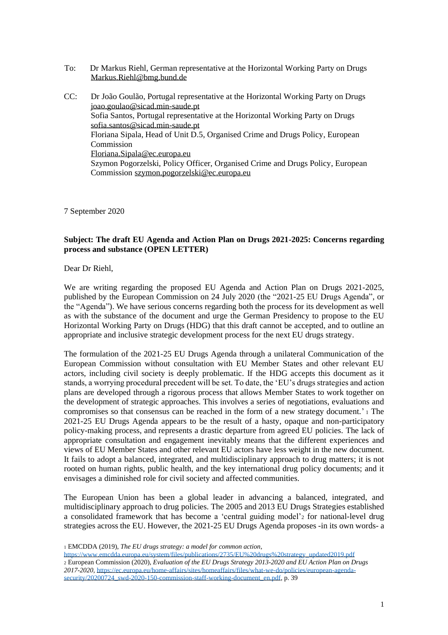- To: Dr Markus Riehl, German representative at the Horizontal Working Party on Drugs [Markus.Riehl@bmg.bund.de](mailto:Markus.Riehl@bmg.bund.de)
- CC: Dr João Goulão, Portugal representative at the Horizontal Working Party on Drugs [joao.goulao@sicad.min-saude.pt](mailto:joao.goulao@sicad.min-saude.pt) Sofia Santos, Portugal representative at the Horizontal Working Party on Drugs sofia.santos@sicad.min-saude.pt Floriana Sipala, Head of Unit D.5, Organised Crime and Drugs Policy, European Commission Floriana.Sipal[a@ec.europa.eu](mailto:ralph.pine@ec.europa.eu) Szymon Pogorzelski, Policy Officer, Organised Crime and Drugs Policy, European Commission [szymon.pogorzelski@ec.europa.eu](mailto:szymon.pogorzelski@ec.europa.eu)

7 September 2020

## **Subject: The draft EU Agenda and Action Plan on Drugs 2021-2025: Concerns regarding process and substance (OPEN LETTER)**

Dear Dr Riehl,

We are writing regarding the proposed EU Agenda and Action Plan on Drugs 2021-2025, published by the European Commission on 24 July 2020 (the "2021-25 EU Drugs Agenda", or the "Agenda"). We have serious concerns regarding both the process for its development as well as with the substance of the document and urge the German Presidency to propose to the EU Horizontal Working Party on Drugs (HDG) that this draft cannot be accepted, and to outline an appropriate and inclusive strategic development process for the next EU drugs strategy.

The formulation of the 2021-25 EU Drugs Agenda through a unilateral Communication of the European Commission without consultation with EU Member States and other relevant EU actors, including civil society is deeply problematic. If the HDG accepts this document as it stands, a worrying procedural precedent will be set. To date, the 'EU's drugs strategies and action plans are developed through a rigorous process that allows Member States to work together on the development of strategic approaches. This involves a series of negotiations, evaluations and compromises so that consensus can be reached in the form of a new strategy document.' <sup>1</sup> The 2021-25 EU Drugs Agenda appears to be the result of a hasty, opaque and non-participatory policy-making process, and represents a drastic departure from agreed EU policies. The lack of appropriate consultation and engagement inevitably means that the different experiences and views of EU Member States and other relevant EU actors have less weight in the new document. It fails to adopt a balanced, integrated, and multidisciplinary approach to drug matters; it is not rooted on human rights, public health, and the key international drug policy documents; and it envisages a diminished role for civil society and affected communities.

The European Union has been a global leader in advancing a balanced, integrated, and multidisciplinary approach to drug policies. The 2005 and 2013 EU Drugs Strategies established a consolidated framework that has become a 'central guiding model'<sup>2</sup> for national-level drug strategies across the EU. However, the 2021-25 EU Drugs Agenda proposes -in its own words- a

<sup>1</sup> EMCDDA (2019), *The EU drugs strategy: a model for common action*,

[https://www.emcdda.europa.eu/system/files/publications/2735/EU%20drugs%20strategy\\_updated2019.pdf](https://www.emcdda.europa.eu/system/files/publications/2735/EU%20drugs%20strategy_updated2019.pdf) <sup>2</sup> European Commission (2020), *Evaluation of the EU Drugs Strategy 2013-2020 and EU Action Plan on Drugs 2017-2020*[, https://ec.europa.eu/home-affairs/sites/homeaffairs/files/what-we-do/policies/european-agenda](https://ec.europa.eu/home-affairs/sites/homeaffairs/files/what-we-do/policies/european-agenda-security/20200724_swd-2020-150-commission-staff-working-document_en.pdf)[security/20200724\\_swd-2020-150-commission-staff-working-document\\_en.pdf,](https://ec.europa.eu/home-affairs/sites/homeaffairs/files/what-we-do/policies/european-agenda-security/20200724_swd-2020-150-commission-staff-working-document_en.pdf) p. 39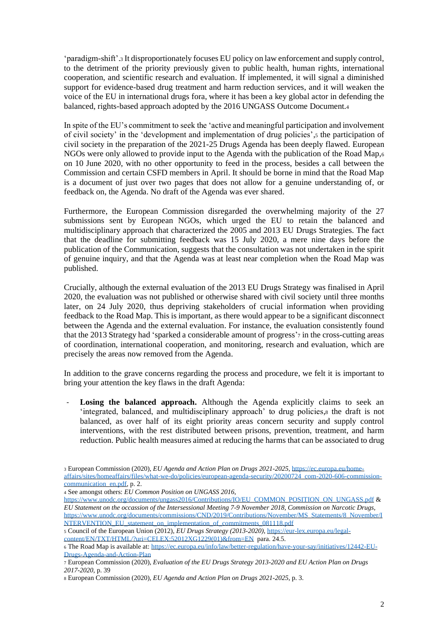'paradigm-shift'.<sup>3</sup> It disproportionately focuses EU policy on law enforcement and supply control, to the detriment of the priority previously given to public health, human rights, international cooperation, and scientific research and evaluation. If implemented, it will signal a diminished support for evidence-based drug treatment and harm reduction services, and it will weaken the voice of the EU in international drugs fora, where it has been a key global actor in defending the balanced, rights-based approach adopted by the 2016 UNGASS Outcome Document.<sup>4</sup>

In spite of the EU's commitment to seek the 'active and meaningful participation and involvement of civil society' in the 'development and implementation of drug policies',<sup>5</sup> the participation of civil society in the preparation of the 2021-25 Drugs Agenda has been deeply flawed. European NGOs were only allowed to provide input to the Agenda with the publication of the Road Map,<sup>6</sup> on 10 June 2020, with no other opportunity to feed in the process, besides a call between the Commission and certain CSFD members in April. It should be borne in mind that the Road Map is a document of just over two pages that does not allow for a genuine understanding of, or feedback on, the Agenda. No draft of the Agenda was ever shared.

Furthermore, the European Commission disregarded the overwhelming majority of the 27 submissions sent by European NGOs, which urged the EU to retain the balanced and multidisciplinary approach that characterized the 2005 and 2013 EU Drugs Strategies. The fact that the deadline for submitting feedback was 15 July 2020, a mere nine days before the publication of the Communication, suggests that the consultation was not undertaken in the spirit of genuine inquiry, and that the Agenda was at least near completion when the Road Map was published.

Crucially, although the external evaluation of the 2013 EU Drugs Strategy was finalised in April 2020, the evaluation was not published or otherwise shared with civil society until three months later, on 24 July 2020, thus depriving stakeholders of crucial information when providing feedback to the Road Map. This is important, as there would appear to be a significant disconnect between the Agenda and the external evaluation. For instance, the evaluation consistently found that the 2013 Strategy had 'sparked a considerable amount of progress'<sup>7</sup> in the cross-cutting areas of coordination, international cooperation, and monitoring, research and evaluation, which are precisely the areas now removed from the Agenda.

In addition to the grave concerns regarding the process and procedure, we felt it is important to bring your attention the key flaws in the draft Agenda:

Losing the balanced approach. Although the Agenda explicitly claims to seek an 'integrated, balanced, and multidisciplinary approach' to drug policies,<sup>8</sup> the draft is not balanced, as over half of its eight priority areas concern security and supply control interventions, with the rest distributed between prisons, prevention, treatment, and harm reduction. Public health measures aimed at reducing the harms that can be associated to drug

<sup>3</sup> European Commission (2020), *EU Agenda and Action Plan on Drugs 2021-2025*[, https://ec.europa.eu/home](https://ec.europa.eu/home-affairs/sites/homeaffairs/files/what-we-do/policies/european-agenda-security/20200724_com-2020-606-commission-communication_en.pdf)[affairs/sites/homeaffairs/files/what-we-do/policies/european-agenda-security/20200724\\_com-2020-606-commission](https://ec.europa.eu/home-affairs/sites/homeaffairs/files/what-we-do/policies/european-agenda-security/20200724_com-2020-606-commission-communication_en.pdf)communication en.pdf, p. 2.

<sup>4</sup> See amongst others: *EU Common Position on UNGASS 2016*,

[https://www.unodc.org/documents/ungass2016/Contributions/IO/EU\\_COMMON\\_POSITION\\_ON\\_UNGASS.pdf](https://www.unodc.org/documents/ungass2016/Contributions/IO/EU_COMMON_POSITION_ON_UNGASS.pdf) & *EU Statement on the occassion of the Intersessional Meeting 7-9 November 2018, Commission on Narcotic Drugs,*  [https://www.unodc.org/documents/commissions/CND/2019/Contributions/November/MS\\_Statements/8\\_November/I](https://www.unodc.org/documents/commissions/CND/2019/Contributions/November/MS_Statements/8_November/INTERVENTION_EU_statement_on_implementation_of_commitments_081118.pdf) [NTERVENTION\\_EU\\_statement\\_on\\_implementation\\_of\\_commitments\\_081118.pdf](https://www.unodc.org/documents/commissions/CND/2019/Contributions/November/MS_Statements/8_November/INTERVENTION_EU_statement_on_implementation_of_commitments_081118.pdf)

<sup>5</sup> Council of the European Union (2012), *EU Drugs Strategy (2013-2020)*, [https://eur-lex.europa.eu/legal](https://eur-lex.europa.eu/legal-content/EN/TXT/HTML/?uri=CELEX:52012XG1229(01)&from=EN)[content/EN/TXT/HTML/?uri=CELEX:52012XG1229\(01\)&from=EN](https://eur-lex.europa.eu/legal-content/EN/TXT/HTML/?uri=CELEX:52012XG1229(01)&from=EN) para. 24.5.

<sup>6</sup> The Road Map is available at: [https://ec.europa.eu/info/law/better-regulation/have-your-say/initiatives/12442-EU-](https://ec.europa.eu/info/law/better-regulation/have-your-say/initiatives/12442-EU-Drugs-Agenda-and-Action-Plan)[Drugs-Agenda-and-Action-Plan](https://ec.europa.eu/info/law/better-regulation/have-your-say/initiatives/12442-EU-Drugs-Agenda-and-Action-Plan)

<sup>7</sup> European Commission (2020), *Evaluation of the EU Drugs Strategy 2013-2020 and EU Action Plan on Drugs 2017-2020*, p. 39

<sup>8</sup> European Commission (2020), *EU Agenda and Action Plan on Drugs 2021-2025*, p. 3.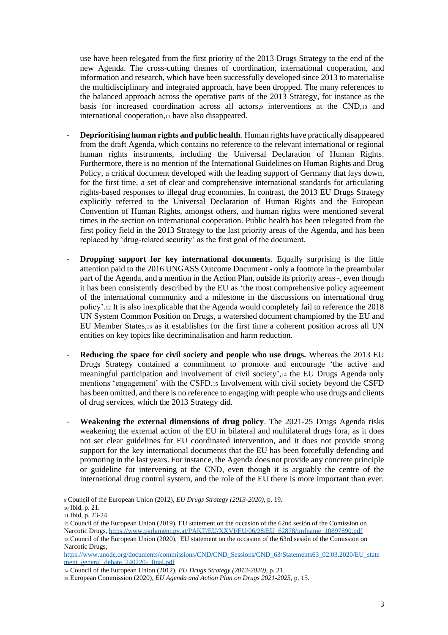use have been relegated from the first priority of the 2013 Drugs Strategy to the end of the new Agenda. The cross-cutting themes of coordination, international cooperation, and information and research, which have been successfully developed since 2013 to materialise the multidisciplinary and integrated approach, have been dropped. The many references to the balanced approach across the operative parts of the 2013 Strategy, for instance as the basis for increased coordination across all actors,<sup>9</sup> interventions at the CND,<sup>10</sup> and international cooperation,<sup>11</sup> have also disappeared.

- **Deprioritising human rights and public health**. Human rights have practically disappeared from the draft Agenda, which contains no reference to the relevant international or regional human rights instruments, including the Universal Declaration of Human Rights. Furthermore, there is no mention of the International Guidelines on Human Rights and Drug Policy, a critical document developed with the leading support of Germany that lays down, for the first time, a set of clear and comprehensive international standards for articulating rights-based responses to illegal drug economies. In contrast, the 2013 EU Drugs Strategy explicitly referred to the Universal Declaration of Human Rights and the European Convention of Human Rights, amongst others, and human rights were mentioned several times in the section on international cooperation. Public health has been relegated from the first policy field in the 2013 Strategy to the last priority areas of the Agenda, and has been replaced by 'drug-related security' as the first goal of the document.
- **Dropping support for key international documents**. Equally surprising is the little attention paid to the 2016 UNGASS Outcome Document - only a footnote in the preambular part of the Agenda, and a mention in the Action Plan, outside its priority areas -, even though it has been consistently described by the EU as 'the most comprehensive policy agreement of the international community and a milestone in the discussions on international drug policy'.<sup>12</sup> It is also inexplicable that the Agenda would completely fail to reference the 2018 UN System Common Position on Drugs, a watershed document championed by the EU and EU Member States,<sup>13</sup> as it establishes for the first time a coherent position across all UN entities on key topics like decriminalisation and harm reduction.
- **Reducing the space for civil society and people who use drugs.** Whereas the 2013 EU Drugs Strategy contained a commitment to promote and encourage 'the active and meaningful participation and involvement of civil society',<sup>14</sup> the EU Drugs Agenda only mentions 'engagement' with the CSFD.<sup>15</sup> Involvement with civil society beyond the CSFD has been omitted, and there is no reference to engaging with people who use drugs and clients of drug services, which the 2013 Strategy did.
- **Weakening the external dimensions of drug policy**. The 2021-25 Drugs Agenda risks weakening the external action of the EU in bilateral and multilateral drugs fora, as it does not set clear guidelines for EU coordinated intervention, and it does not provide strong support for the key international documents that the EU has been forcefully defending and promoting in the last years. For instance, the Agenda does not provide any concrete principle or guideline for intervening at the CND, even though it is arguably the centre of the international drug control system, and the role of the EU there is more important than ever.

<sup>9</sup> Council of the European Union (2012), *EU Drugs Strategy (2013-2020)*, p. 19.

<sup>10</sup> Ibid, p. 21.

<sup>11</sup> Ibid, p. 23-24.

<sup>12</sup> Council of the European Union (2019), EU statement on the occasion of the 62nd sesión of the Comission on

Narcotic Drugs, [https://www.parlament.gv.at/PAKT/EU/XXVI/EU/06/28/EU\\_62878/imfname\\_10897890.pdf](https://www.parlament.gv.at/PAKT/EU/XXVI/EU/06/28/EU_62878/imfname_10897890.pdf)

<sup>13</sup> Council of the European Union (2020), EU statement on the occasion of the 63rd sesión of the Comission on Narcotic Drugs,

[https://www.unodc.org/documents/commissions/CND/CND\\_Sessions/CND\\_63/Statements63\\_02.03.2020/EU\\_state](https://www.unodc.org/documents/commissions/CND/CND_Sessions/CND_63/Statements63_02.03.2020/EU_statement_general_debate_240220-_final.pdf) [ment\\_general\\_debate\\_240220-\\_final.pdf](https://www.unodc.org/documents/commissions/CND/CND_Sessions/CND_63/Statements63_02.03.2020/EU_statement_general_debate_240220-_final.pdf)

<sup>14</sup> Council of the European Union (2012), *EU Drugs Strategy (2013-2020)*, p. 21.

<sup>15</sup> European Commission (2020), *EU Agenda and Action Plan on Drugs 2021-2025*, p. 15.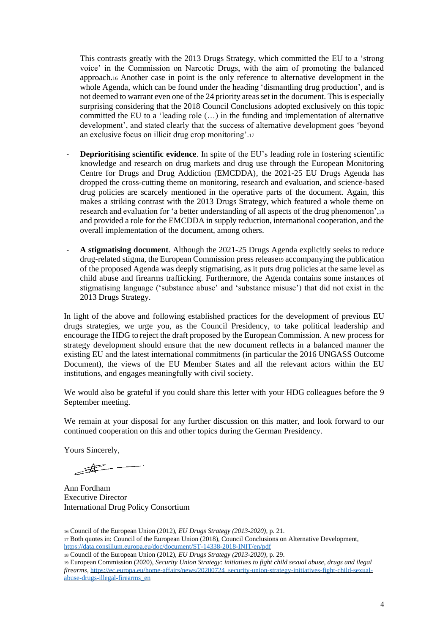This contrasts greatly with the 2013 Drugs Strategy, which committed the EU to a 'strong voice' in the Commission on Narcotic Drugs, with the aim of promoting the balanced approach.<sup>16</sup> Another case in point is the only reference to alternative development in the whole Agenda, which can be found under the heading 'dismantling drug production', and is not deemed to warrant even one of the 24 priority areas set in the document. This is especially surprising considering that the 2018 Council Conclusions adopted exclusively on this topic committed the EU to a 'leading role  $(...)$  in the funding and implementation of alternative development', and stated clearly that the success of alternative development goes 'beyond an exclusive focus on illicit drug crop monitoring'.<sup>17</sup>

- **Deprioritising scientific evidence**. In spite of the EU's leading role in fostering scientific knowledge and research on drug markets and drug use through the European Monitoring Centre for Drugs and Drug Addiction (EMCDDA), the 2021-25 EU Drugs Agenda has dropped the cross-cutting theme on monitoring, research and evaluation, and science-based drug policies are scarcely mentioned in the operative parts of the document. Again, this makes a striking contrast with the 2013 Drugs Strategy, which featured a whole theme on research and evaluation for 'a better understanding of all aspects of the drug phenomenon',<sup>18</sup> and provided a role for the EMCDDA in supply reduction, international cooperation, and the overall implementation of the document, among others.
- **A stigmatising document**. Although the 2021-25 Drugs Agenda explicitly seeks to reduce drug-related stigma, the European Commission press release19 accompanying the publication of the proposed Agenda was deeply stigmatising, as it puts drug policies at the same level as child abuse and firearms trafficking. Furthermore, the Agenda contains some instances of stigmatising language ('substance abuse' and 'substance misuse') that did not exist in the 2013 Drugs Strategy.

In light of the above and following established practices for the development of previous EU drugs strategies, we urge you, as the Council Presidency, to take political leadership and encourage the HDG to reject the draft proposed by the European Commission. A new process for strategy development should ensure that the new document reflects in a balanced manner the existing EU and the latest international commitments (in particular the 2016 UNGASS Outcome Document), the views of the EU Member States and all the relevant actors within the EU institutions, and engages meaningfully with civil society.

We would also be grateful if you could share this letter with your HDG colleagues before the 9 September meeting.

We remain at your disposal for any further discussion on this matter, and look forward to our continued cooperation on this and other topics during the German Presidency.

Yours Sincerely,

 $\overline{\mathscr{F}}$ 

Ann Fordham Executive Director International Drug Policy Consortium

<sup>16</sup> Council of the European Union (2012), *EU Drugs Strategy (2013-2020)*, p. 21. <sup>17</sup> Both quotes in: Council of the European Union (2018), Council Conclusions on Alternative Development, <https://data.consilium.europa.eu/doc/document/ST-14338-2018-INIT/en/pdf>

<sup>18</sup> Council of the European Union (2012), *EU Drugs Strategy (2013-2020)*, p. 29.

<sup>19</sup> European Commission (2020), *Security Union Strategy: initiatives to fight child sexual abuse, drugs and ilegal firearms*, [https://ec.europa.eu/home-affairs/news/20200724\\_security-union-strategy-initiatives-fight-child-sexual](https://ec.europa.eu/home-affairs/news/20200724_security-union-strategy-initiatives-fight-child-sexual-abuse-drugs-illegal-firearms_en)[abuse-drugs-illegal-firearms\\_en](https://ec.europa.eu/home-affairs/news/20200724_security-union-strategy-initiatives-fight-child-sexual-abuse-drugs-illegal-firearms_en)